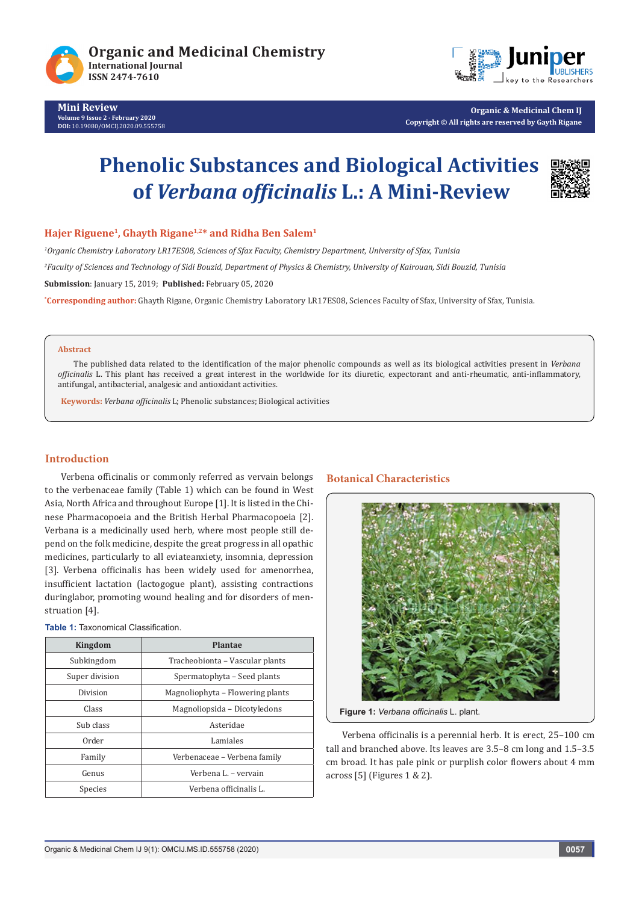



**Organic & Medicinal Chem IJ Copyright © All rights are reserved by Gayth Rigane**

# **Phenolic Substances and Biological Activities of** *Verbana officinalis* **L.: A Mini-Review**



# **Hajer Riguene1, Ghayth Rigane1,2\* and Ridha Ben Salem1**

*1 Organic Chemistry Laboratory LR17ES08, Sciences of Sfax Faculty, Chemistry Department, University of Sfax, Tunisia 2 Faculty of Sciences and Technology of Sidi Bouzid, Department of Physics & Chemistry, University of Kairouan, Sidi Bouzid, Tunisia* **Submission**: January 15, 2019; **Published:** February 05, 2020

**\* Corresponding author:** Ghayth Rigane, Organic Chemistry Laboratory LR17ES08, Sciences Faculty of Sfax, University of Sfax, Tunisia.

#### **Abstract**

The published data related to the identification of the major phenolic compounds as well as its biological activities present in *Verbana officinalis* L. This plant has received a great interest in the worldwide for its diuretic, expectorant and anti-rheumatic, anti-inflammatory, antifungal, antibacterial, analgesic and antioxidant activities.

**Keywords:** *Verbana officinalis* L; Phenolic substances; Biological activities

## **Introduction**

Verbena officinalis or commonly referred as vervain belongs to the verbenaceae family (Table 1) which can be found in West Asia, North Africa and throughout Europe [1]. It is listed in the Chinese Pharmacopoeia and the British Herbal Pharmacopoeia [2]. Verbana is a medicinally used herb, where most people still depend on the folk medicine, despite the great progress in all opathic medicines, particularly to all eviateanxiety, insomnia, depression [3]. Verbena officinalis has been widely used for amenorrhea, insufficient lactation (lactogogue plant), assisting contractions duringlabor, promoting wound healing and for disorders of menstruation [4].

|  |  | <b>Table 1: Taxonomical Classification.</b> |
|--|--|---------------------------------------------|
|--|--|---------------------------------------------|

| Kingdom        | Plantae                          |  |
|----------------|----------------------------------|--|
| Subkingdom     | Tracheobionta - Vascular plants  |  |
| Super division | Spermatophyta – Seed plants      |  |
| Division       | Magnoliophyta - Flowering plants |  |
| Class          | Magnoliopsida - Dicotyledons     |  |
| Sub class      | Asteridae                        |  |
| Order          | Lamiales                         |  |
| Family         | Verbenaceae - Verbena family     |  |
| Genus          | Verbena L. - vervain             |  |
| Species        | Verbena officinalis L.           |  |

## **Botanical Characteristics**



**Figure 1:** *Verbana officinalis* L. plant.

Verbena officinalis is a perennial herb. It is erect, 25–100 cm tall and branched above. Its leaves are 3.5–8 cm long and 1.5–3.5 cm broad. It has pale pink or purplish color flowers about 4 mm across [5] (Figures 1 & 2).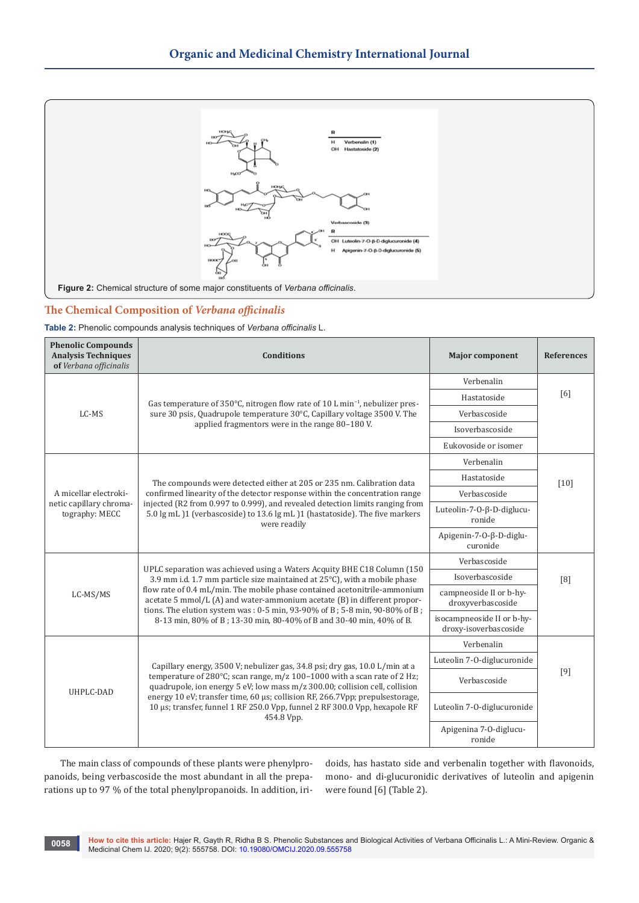

# **The Chemical Composition of** *Verbana officinalis*

**Table 2:** Phenolic compounds analysis techniques of *Verbana officinalis* L.

| <b>Phenolic Compounds</b><br><b>Analysis Techniques</b><br>of Verbana officinalis | <b>Conditions</b>                                                                                                                                                                                                                   | <b>Major component</b>                              | References |  |
|-----------------------------------------------------------------------------------|-------------------------------------------------------------------------------------------------------------------------------------------------------------------------------------------------------------------------------------|-----------------------------------------------------|------------|--|
|                                                                                   |                                                                                                                                                                                                                                     | Verbenalin                                          |            |  |
| LC-MS                                                                             | Gas temperature of 350°C, nitrogen flow rate of 10 L min <sup>-1</sup> , nebulizer pres-                                                                                                                                            | Hastatoside                                         | [6]        |  |
|                                                                                   | sure 30 psis, Quadrupole temperature 30°C, Capillary voltage 3500 V. The<br>applied fragmentors were in the range 80-180 V.                                                                                                         | Verbascoside                                        |            |  |
|                                                                                   |                                                                                                                                                                                                                                     | Isoverbascoside                                     |            |  |
|                                                                                   |                                                                                                                                                                                                                                     | Eukovoside or isomer                                |            |  |
|                                                                                   |                                                                                                                                                                                                                                     | Verbenalin                                          |            |  |
|                                                                                   | The compounds were detected either at 205 or 235 nm. Calibration data                                                                                                                                                               | Hastatoside                                         | $[10]$     |  |
| A micellar electroki-<br>netic capillary chroma-<br>tography: MECC                | confirmed linearity of the detector response within the concentration range                                                                                                                                                         | Verbascoside                                        |            |  |
|                                                                                   | injected (R2 from 0.997 to 0.999), and revealed detection limits ranging from<br>5.0 lg mL )1 (verbascoside) to 13.6 lg mL )1 (hastatoside). The five markers<br>were readily                                                       | Luteolin-7-0-β-D-diglucu-<br>ronide                 |            |  |
|                                                                                   |                                                                                                                                                                                                                                     | Apigenin-7-0-β-D-diglu-<br>curonide                 |            |  |
| LC-MS/MS                                                                          |                                                                                                                                                                                                                                     | Verbascoside                                        |            |  |
|                                                                                   | UPLC separation was achieved using a Waters Acquity BHE C18 Column (150)<br>3.9 mm i.d. 1.7 mm particle size maintained at 25°C), with a mobile phase                                                                               | Isoverbascoside                                     | [8]        |  |
|                                                                                   | flow rate of 0.4 mL/min. The mobile phase contained acetonitrile-ammonium<br>acetate 5 mmol/L (A) and water-ammonium acetate (B) in different propor-<br>tions. The elution system was: 0-5 min, 93-90% of B; 5-8 min, 90-80% of B; | campneoside II or b-hy-<br>droxyverbascoside        |            |  |
|                                                                                   | 8-13 min, 80% of B; 13-30 min, 80-40% of B and 30-40 min, 40% of B.                                                                                                                                                                 | isocampneoside II or b-hy-<br>droxy-isoverbascoside |            |  |
|                                                                                   |                                                                                                                                                                                                                                     | Verbenalin                                          |            |  |
| UHPLC-DAD                                                                         | Capillary energy, 3500 V; nebulizer gas, 34.8 psi; dry gas, 10.0 L/min at a                                                                                                                                                         | Luteolin 7-O-diglucuronide                          |            |  |
|                                                                                   | temperature of 280°C; scan range, m/z 100-1000 with a scan rate of 2 Hz;<br>quadrupole, ion energy 5 eV; low mass m/z 300.00; collision cell, collision                                                                             | Verbascoside                                        | $[9]$      |  |
|                                                                                   | energy 10 eV; transfer time, 60 µs; collision RF, 266.7Vpp; prepulsestorage,<br>10 μs; transfer, funnel 1 RF 250.0 Vpp, funnel 2 RF 300.0 Vpp, hexapole RF<br>454.8 Vpp.                                                            | Luteolin 7-O-diglucuronide                          |            |  |
|                                                                                   |                                                                                                                                                                                                                                     | Apigenina 7-O-diglucu-<br>ronide                    |            |  |

The main class of compounds of these plants were phenylpropanoids, being verbascoside the most abundant in all the preparations up to 97 % of the total phenylpropanoids. In addition, iridoids, has hastato side and verbenalin together with flavonoids, mono- and di-glucuronidic derivatives of luteolin and apigenin were found [6] (Table 2).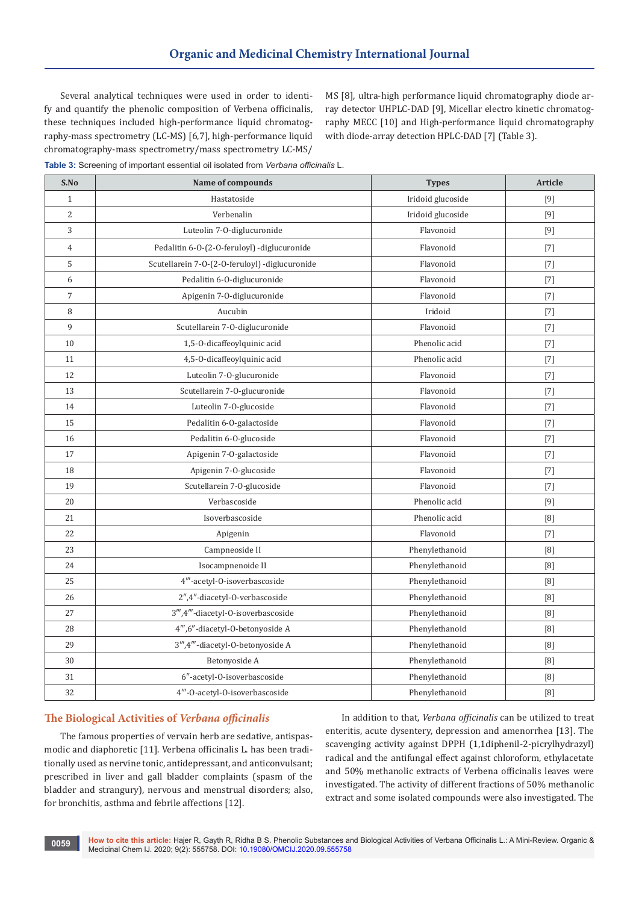Several analytical techniques were used in order to identify and quantify the phenolic composition of Verbena officinalis, these techniques included high-performance liquid chromatography-mass spectrometry (LC-MS) [6,7], high-performance liquid chromatography-mass spectrometry/mass spectrometry LC-MS/

MS [8], ultra-high performance liquid chromatography diode array detector UHPLC-DAD [9], Micellar electro kinetic chromatography MECC [10] and High-performance liquid chromatography with diode-array detection HPLC-DAD [7] (Table 3).

**Table 3:** Screening of important essential oil isolated from *Verbana officinalis* L.

| S.No             | Name of compounds                              | <b>Types</b>      | Article                                                                                                                                                                                                                                                                                               |
|------------------|------------------------------------------------|-------------------|-------------------------------------------------------------------------------------------------------------------------------------------------------------------------------------------------------------------------------------------------------------------------------------------------------|
| $\mathbf{1}$     | Hastatoside                                    | Iridoid glucoside | $[9]$                                                                                                                                                                                                                                                                                                 |
| $\overline{c}$   | Verbenalin                                     | Iridoid glucoside | $[9]$                                                                                                                                                                                                                                                                                                 |
| 3                | Luteolin 7-O-diglucuronide                     | Flavonoid         | $[9]$                                                                                                                                                                                                                                                                                                 |
| $\overline{4}$   | Pedalitin 6-O-(2-O-feruloyl) -diglucuronide    | Flavonoid         | $[7]$                                                                                                                                                                                                                                                                                                 |
| 5                | Scutellarein 7-0-(2-0-feruloyl) -diglucuronide | Flavonoid         | $[7] \centering% \includegraphics[width=1.0\textwidth]{images/TrDiC-Architecture.png} \caption{The 3D (top) and the 4D (bottom) of the 3D (bottom) and the 4D (bottom) of the 3D (bottom) and the 4D (bottom) of the 3D (bottom) and the 4D (bottom) of the 3D (bottom).} \label{TrDiC-Architecture}$ |
| 6                | Pedalitin 6-O-diglucuronide                    | Flavonoid         | $[7]$                                                                                                                                                                                                                                                                                                 |
| $\boldsymbol{7}$ | Apigenin 7-O-diglucuronide                     | Flavonoid         |                                                                                                                                                                                                                                                                                                       |
| $\, 8$           | Aucubin                                        | Iridoid           | $[7]$                                                                                                                                                                                                                                                                                                 |
| 9                | Scutellarein 7-O-diglucuronide                 | Flavonoid         | $[7]$                                                                                                                                                                                                                                                                                                 |
| 10               | 1,5-O-dicaffeoylquinic acid                    | Phenolic acid     | $[7] \centering% \includegraphics[width=1.0\textwidth]{images/TrDiC-Architecture.png} \caption{The 3D (top) and the 4D (bottom) of the 3D (bottom) and the 4D (bottom) of the 3D (bottom) and the 4D (bottom) of the 3D (bottom) and the 4D (bottom) of the 3D (bottom).} \label{TrDiC-Architecture}$ |
| 11               | 4,5-O-dicaffeoylquinic acid                    | Phenolic acid     | $[7]$                                                                                                                                                                                                                                                                                                 |
| 12               | Luteolin 7-O-glucuronide                       | Flavonoid         | $[7]$                                                                                                                                                                                                                                                                                                 |
| 13               | Scutellarein 7-0-glucuronide                   | Flavonoid         | $[7]$                                                                                                                                                                                                                                                                                                 |
| 14               | Luteolin 7-O-glucoside                         | Flavonoid         | $[7]$                                                                                                                                                                                                                                                                                                 |
| 15               | Pedalitin 6-O-galactoside                      | Flavonoid         | $[7]$                                                                                                                                                                                                                                                                                                 |
| 16               | Pedalitin 6-O-glucoside                        | Flavonoid         | $[7]$                                                                                                                                                                                                                                                                                                 |
| 17               | Apigenin 7-O-galactoside                       | Flavonoid         | $[7]$                                                                                                                                                                                                                                                                                                 |
| 18               | Apigenin 7-O-glucoside                         | Flavonoid         | $[7]$                                                                                                                                                                                                                                                                                                 |
| 19               | Scutellarein 7-O-glucoside                     | Flavonoid         | $[7]$                                                                                                                                                                                                                                                                                                 |
| 20               | Verbascoside                                   | Phenolic acid     | $[9]$                                                                                                                                                                                                                                                                                                 |
| 21               | Isoverbascoside                                | Phenolic acid     | [8]                                                                                                                                                                                                                                                                                                   |
| 22               | Apigenin                                       | Flavonoid         | $[7]$                                                                                                                                                                                                                                                                                                 |
| 23               | Campneoside II                                 | Phenylethanoid    |                                                                                                                                                                                                                                                                                                       |
| 24               | Isocampnenoide II                              | Phenylethanoid    |                                                                                                                                                                                                                                                                                                       |
| 25               | 4"'-acetyl-O-isoverbascoside                   | Phenylethanoid    |                                                                                                                                                                                                                                                                                                       |
| 26               | 2",4"-diacetyl-O-verbascoside                  | Phenylethanoid    |                                                                                                                                                                                                                                                                                                       |
| 27               | 3‴,4‴-diacetyl-O-isoverbascoside               | Phenylethanoid    |                                                                                                                                                                                                                                                                                                       |
| 28               | 4‴,6″-diacetyl-O-betonyoside A                 | Phenylethanoid    | $[8]$                                                                                                                                                                                                                                                                                                 |
| 29               | 3‴,4‴-diacetyl-O-betonyoside A                 | Phenylethanoid    | $[8]$                                                                                                                                                                                                                                                                                                 |
| 30               | Betonyoside A                                  | Phenylethanoid    |                                                                                                                                                                                                                                                                                                       |
| 31               | 6"-acetyl-O-isoverbascoside                    | Phenylethanoid    | $[8] % \includegraphics[width=0.9\columnwidth]{figures/fig_0a.pdf} \caption{Schematic plot of the top of the top of the top of the top of the top of the right.} \label{fig:1} %$                                                                                                                     |
| 32               | 4"'-O-acetyl-O-isoverbascoside                 | Phenylethanoid    | $[8]$                                                                                                                                                                                                                                                                                                 |

## **The Biological Activities of** *Verbana officinalis*

The famous properties of vervain herb are sedative, antispasmodic and diaphoretic [11]. Verbena officinalis L. has been traditionally used as nervine tonic, antidepressant, and anticonvulsant; prescribed in liver and gall bladder complaints (spasm of the bladder and strangury), nervous and menstrual disorders; also, for bronchitis, asthma and febrile affections [12].

In addition to that, *Verbana officinalis* can be utilized to treat enteritis, acute dysentery, depression and amenorrhea [13]. The scavenging activity against DPPH (1,1diphenil-2-picrylhydrazyl) radical and the antifungal effect against chloroform, ethylacetate and 50% methanolic extracts of Verbena officinalis leaves were investigated. The activity of different fractions of 50% methanolic extract and some isolated compounds were also investigated. The